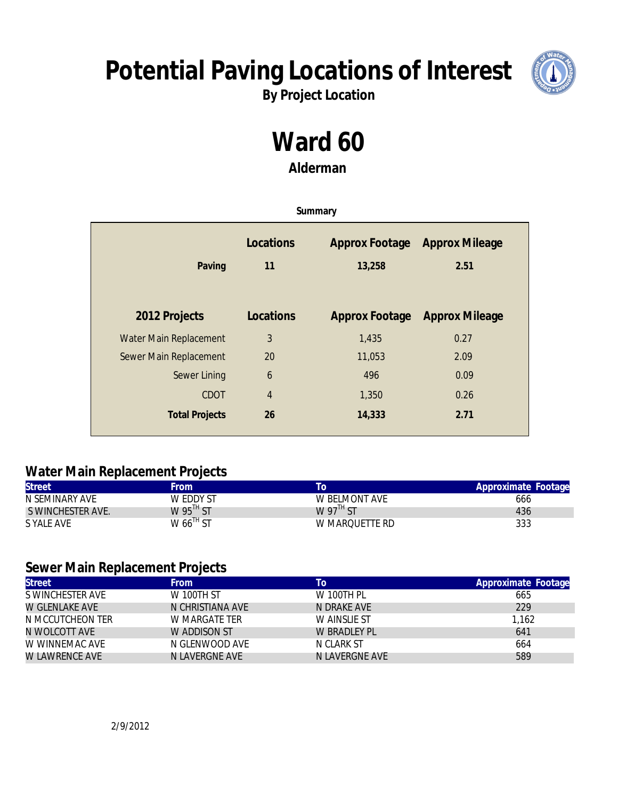## **Potential Paving Locations of Interest**



**By Project Location**

# **Ward 60**

**Alderman**

| Summary                |                  |                          |                               |
|------------------------|------------------|--------------------------|-------------------------------|
| Paving                 | Locations<br>11  | Approx Footage<br>13,258 | <b>Approx Mileage</b><br>2.51 |
| 2012 Projects          | Locations        | Approx Footage           | <b>Approx Mileage</b>         |
| Water Main Replacement | 3                | 1,435                    | 0.27                          |
| Sewer Main Replacement | 20               | 11,053                   | 2.09                          |
| Sewer Lining           | $\boldsymbol{6}$ | 496                      | 0.09                          |
| <b>CDOT</b>            | $\overline{4}$   | 1,350                    | 0.26                          |
| <b>Total Projects</b>  | 26               | 14,333                   | 2.71                          |

#### **Water Main Replacement Projects**

| <b>Street</b>     | <b>From</b>             | l C                      | Approximate Footage |
|-------------------|-------------------------|--------------------------|---------------------|
| N SEMINARY AVE    | W EDDY ST               | W BELMONT AVE            | 666                 |
| S WINCHESTER AVE. | W $95^{\text{TH}}$ ST   | W 97 $^{\textsf{TH}}$ ST | 436                 |
| S YALE AVE        | $W$ 66 <sup>TH</sup> ST | W MAROUETTE RD           | 333                 |

#### **Sewer Main Replacement Projects**

| <b>Street</b>    | <b>From</b>       | To             | Approximate Footage |
|------------------|-------------------|----------------|---------------------|
| S WINCHESTER AVE | <b>W 100TH ST</b> | W 100TH PL     | 665                 |
| W GLENLAKE AVE   | N CHRISTIANA AVE  | N DRAKE AVE    | 229                 |
| N MCCUTCHEON TER | W MARGATE TER     | W AINSLIE ST   | 1,162               |
| N WOLCOTT AVE    | W ADDISON ST      | W BRADLEY PL   | 641                 |
| W WINNEMAC AVE   | N GLENWOOD AVE    | N CLARK ST     | 664                 |
| W LAWRENCE AVE   | N LAVERGNE AVE    | N LAVERGNE AVE | 589                 |